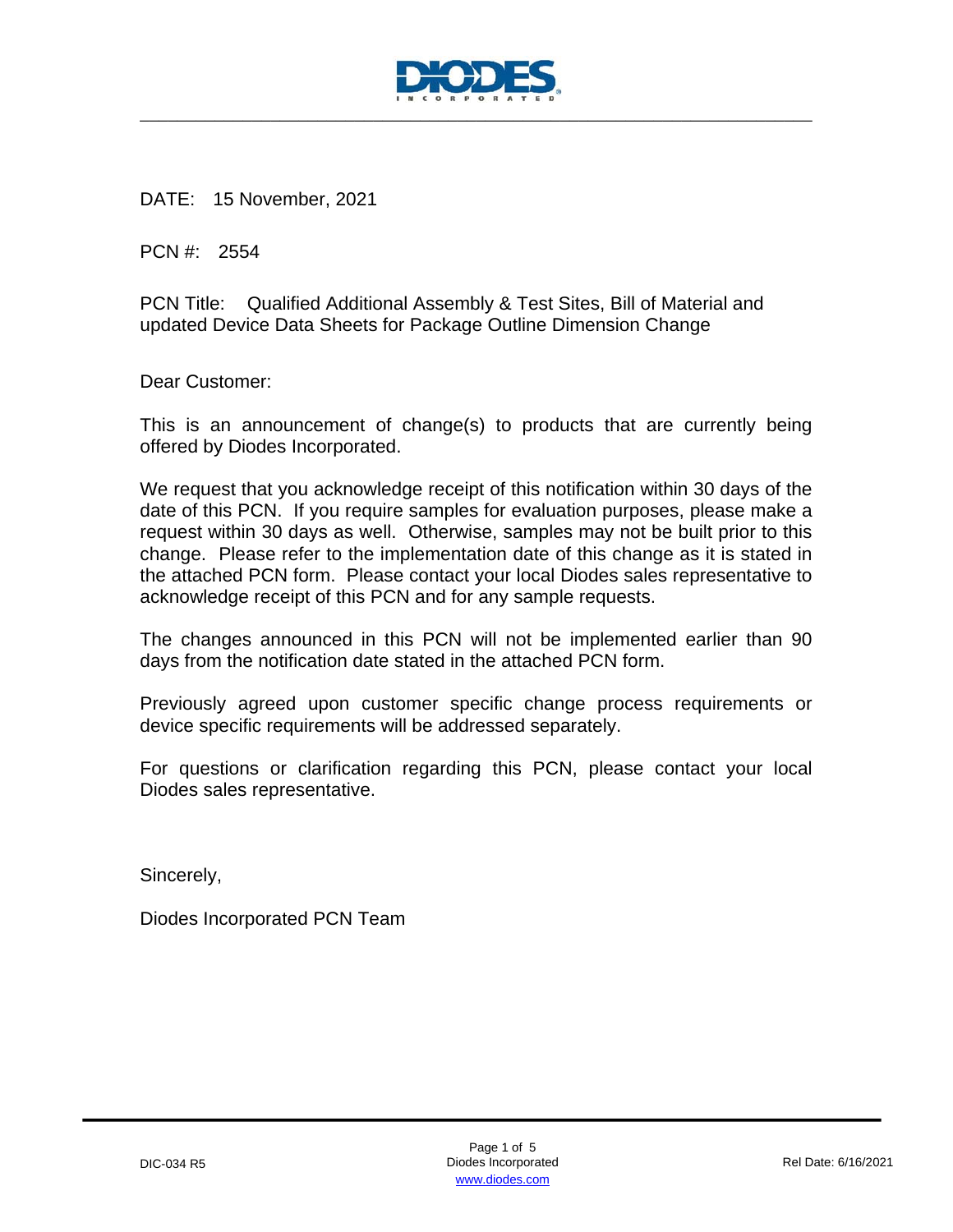

DATE: 15 November, 2021

PCN #: 2554

PCN Title: Qualified Additional Assembly & Test Sites, Bill of Material and updated Device Data Sheets for Package Outline Dimension Change

Dear Customer:

This is an announcement of change(s) to products that are currently being offered by Diodes Incorporated.

We request that you acknowledge receipt of this notification within 30 days of the date of this PCN. If you require samples for evaluation purposes, please make a request within 30 days as well. Otherwise, samples may not be built prior to this change. Please refer to the implementation date of this change as it is stated in the attached PCN form. Please contact your local Diodes sales representative to acknowledge receipt of this PCN and for any sample requests.

The changes announced in this PCN will not be implemented earlier than 90 days from the notification date stated in the attached PCN form.

Previously agreed upon customer specific change process requirements or device specific requirements will be addressed separately.

For questions or clarification regarding this PCN, please contact your local Diodes sales representative.

Sincerely,

Diodes Incorporated PCN Team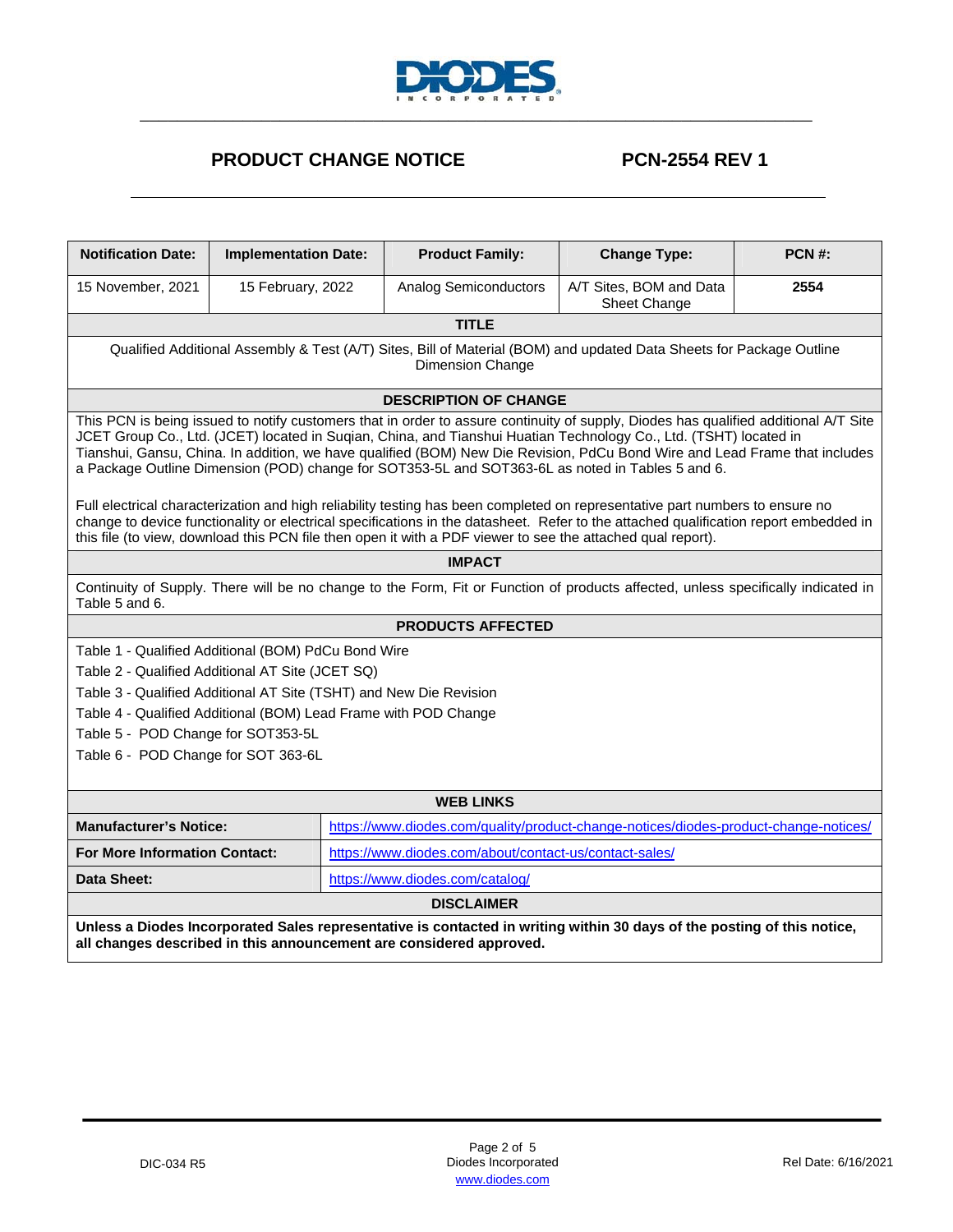

## **PRODUCT CHANGE NOTICE PCN-2554 REV 1**

| <b>Notification Date:</b>                                                                                                                                                                                                                                                                                                                                                                                                                                                                                                                                                                                                                                                                                                                                          | <b>Implementation Date:</b>                                                                                           |  | <b>Product Family:</b>                                                                                      | <b>Change Type:</b>                     | PCN#: |  |
|--------------------------------------------------------------------------------------------------------------------------------------------------------------------------------------------------------------------------------------------------------------------------------------------------------------------------------------------------------------------------------------------------------------------------------------------------------------------------------------------------------------------------------------------------------------------------------------------------------------------------------------------------------------------------------------------------------------------------------------------------------------------|-----------------------------------------------------------------------------------------------------------------------|--|-------------------------------------------------------------------------------------------------------------|-----------------------------------------|-------|--|
| 15 November, 2021                                                                                                                                                                                                                                                                                                                                                                                                                                                                                                                                                                                                                                                                                                                                                  | 15 February, 2022                                                                                                     |  | Analog Semiconductors                                                                                       | A/T Sites, BOM and Data<br>Sheet Change | 2554  |  |
|                                                                                                                                                                                                                                                                                                                                                                                                                                                                                                                                                                                                                                                                                                                                                                    |                                                                                                                       |  | <b>TITLE</b>                                                                                                |                                         |       |  |
| Qualified Additional Assembly & Test (A/T) Sites, Bill of Material (BOM) and updated Data Sheets for Package Outline<br>Dimension Change                                                                                                                                                                                                                                                                                                                                                                                                                                                                                                                                                                                                                           |                                                                                                                       |  |                                                                                                             |                                         |       |  |
|                                                                                                                                                                                                                                                                                                                                                                                                                                                                                                                                                                                                                                                                                                                                                                    |                                                                                                                       |  | <b>DESCRIPTION OF CHANGE</b>                                                                                |                                         |       |  |
| This PCN is being issued to notify customers that in order to assure continuity of supply, Diodes has qualified additional A/T Site<br>JCET Group Co., Ltd. (JCET) located in Suqian, China, and Tianshui Huatian Technology Co., Ltd. (TSHT) located in<br>Tianshui, Gansu, China. In addition, we have qualified (BOM) New Die Revision, PdCu Bond Wire and Lead Frame that includes<br>a Package Outline Dimension (POD) change for SOT353-5L and SOT363-6L as noted in Tables 5 and 6.<br>Full electrical characterization and high reliability testing has been completed on representative part numbers to ensure no<br>change to device functionality or electrical specifications in the datasheet. Refer to the attached qualification report embedded in |                                                                                                                       |  |                                                                                                             |                                         |       |  |
|                                                                                                                                                                                                                                                                                                                                                                                                                                                                                                                                                                                                                                                                                                                                                                    |                                                                                                                       |  | this file (to view, download this PCN file then open it with a PDF viewer to see the attached qual report). |                                         |       |  |
| <b>IMPACT</b>                                                                                                                                                                                                                                                                                                                                                                                                                                                                                                                                                                                                                                                                                                                                                      |                                                                                                                       |  |                                                                                                             |                                         |       |  |
| Continuity of Supply. There will be no change to the Form, Fit or Function of products affected, unless specifically indicated in<br>Table 5 and 6.                                                                                                                                                                                                                                                                                                                                                                                                                                                                                                                                                                                                                |                                                                                                                       |  |                                                                                                             |                                         |       |  |
| <b>PRODUCTS AFFECTED</b>                                                                                                                                                                                                                                                                                                                                                                                                                                                                                                                                                                                                                                                                                                                                           |                                                                                                                       |  |                                                                                                             |                                         |       |  |
| Table 1 - Qualified Additional (BOM) PdCu Bond Wire                                                                                                                                                                                                                                                                                                                                                                                                                                                                                                                                                                                                                                                                                                                |                                                                                                                       |  |                                                                                                             |                                         |       |  |
| Table 2 - Qualified Additional AT Site (JCET SQ)                                                                                                                                                                                                                                                                                                                                                                                                                                                                                                                                                                                                                                                                                                                   |                                                                                                                       |  |                                                                                                             |                                         |       |  |
| Table 3 - Qualified Additional AT Site (TSHT) and New Die Revision                                                                                                                                                                                                                                                                                                                                                                                                                                                                                                                                                                                                                                                                                                 |                                                                                                                       |  |                                                                                                             |                                         |       |  |
| Table 4 - Qualified Additional (BOM) Lead Frame with POD Change                                                                                                                                                                                                                                                                                                                                                                                                                                                                                                                                                                                                                                                                                                    |                                                                                                                       |  |                                                                                                             |                                         |       |  |
| Table 5 - POD Change for SOT353-5L                                                                                                                                                                                                                                                                                                                                                                                                                                                                                                                                                                                                                                                                                                                                 |                                                                                                                       |  |                                                                                                             |                                         |       |  |
| Table 6 - POD Change for SOT 363-6L                                                                                                                                                                                                                                                                                                                                                                                                                                                                                                                                                                                                                                                                                                                                |                                                                                                                       |  |                                                                                                             |                                         |       |  |
| <b>WEB LINKS</b>                                                                                                                                                                                                                                                                                                                                                                                                                                                                                                                                                                                                                                                                                                                                                   |                                                                                                                       |  |                                                                                                             |                                         |       |  |
|                                                                                                                                                                                                                                                                                                                                                                                                                                                                                                                                                                                                                                                                                                                                                                    | https://www.diodes.com/quality/product-change-notices/diodes-product-change-notices/<br><b>Manufacturer's Notice:</b> |  |                                                                                                             |                                         |       |  |
|                                                                                                                                                                                                                                                                                                                                                                                                                                                                                                                                                                                                                                                                                                                                                                    | https://www.diodes.com/about/contact-us/contact-sales/<br><b>For More Information Contact:</b>                        |  |                                                                                                             |                                         |       |  |
| <b>Data Sheet:</b>                                                                                                                                                                                                                                                                                                                                                                                                                                                                                                                                                                                                                                                                                                                                                 | https://www.diodes.com/catalog/                                                                                       |  |                                                                                                             |                                         |       |  |
| <b>DISCLAIMER</b>                                                                                                                                                                                                                                                                                                                                                                                                                                                                                                                                                                                                                                                                                                                                                  |                                                                                                                       |  |                                                                                                             |                                         |       |  |
| Unless a Diodes Incorporated Sales representative is contacted in writing within 30 days of the posting of this notice,<br>all changes described in this announcement are considered approved.                                                                                                                                                                                                                                                                                                                                                                                                                                                                                                                                                                     |                                                                                                                       |  |                                                                                                             |                                         |       |  |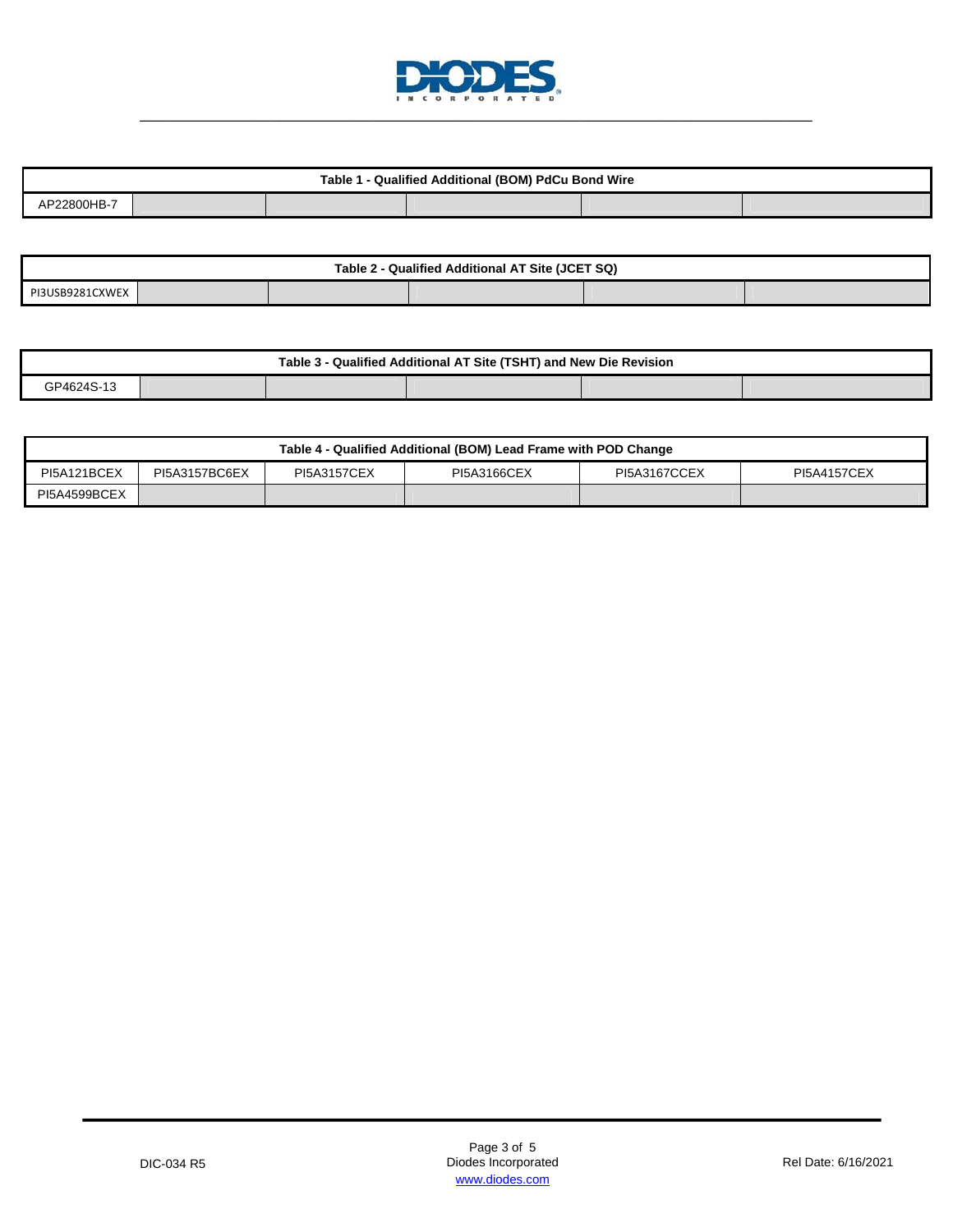

| I - Qualified Additional (BOM) PdCu Bond Wire<br>Table 1 - |  |  |  |  |  |  |  |
|------------------------------------------------------------|--|--|--|--|--|--|--|
| AP22800HB-7                                                |  |  |  |  |  |  |  |

| - Qualified Additional AT Site (JCET SQ)<br>Table 2 |  |  |  |  |  |  |  |
|-----------------------------------------------------|--|--|--|--|--|--|--|
| PI3USB9281CXWEX                                     |  |  |  |  |  |  |  |

| Table 3 - Qualified Additional AT Site (TSHT) and New Die Revision |  |  |  |  |  |  |  |
|--------------------------------------------------------------------|--|--|--|--|--|--|--|
| GP4624S-13                                                         |  |  |  |  |  |  |  |

| Table 4 - Qualified Additional (BOM) Lead Frame with POD Change |               |                    |             |              |                    |  |
|-----------------------------------------------------------------|---------------|--------------------|-------------|--------------|--------------------|--|
| PI5A121BCEX                                                     | PI5A3157BC6EX | <b>PI5A3157CEX</b> | PI5A3166CEX | PI5A3167CCEX | <b>PI5A4157CEX</b> |  |
| PI5A4599BCEX                                                    |               |                    |             |              |                    |  |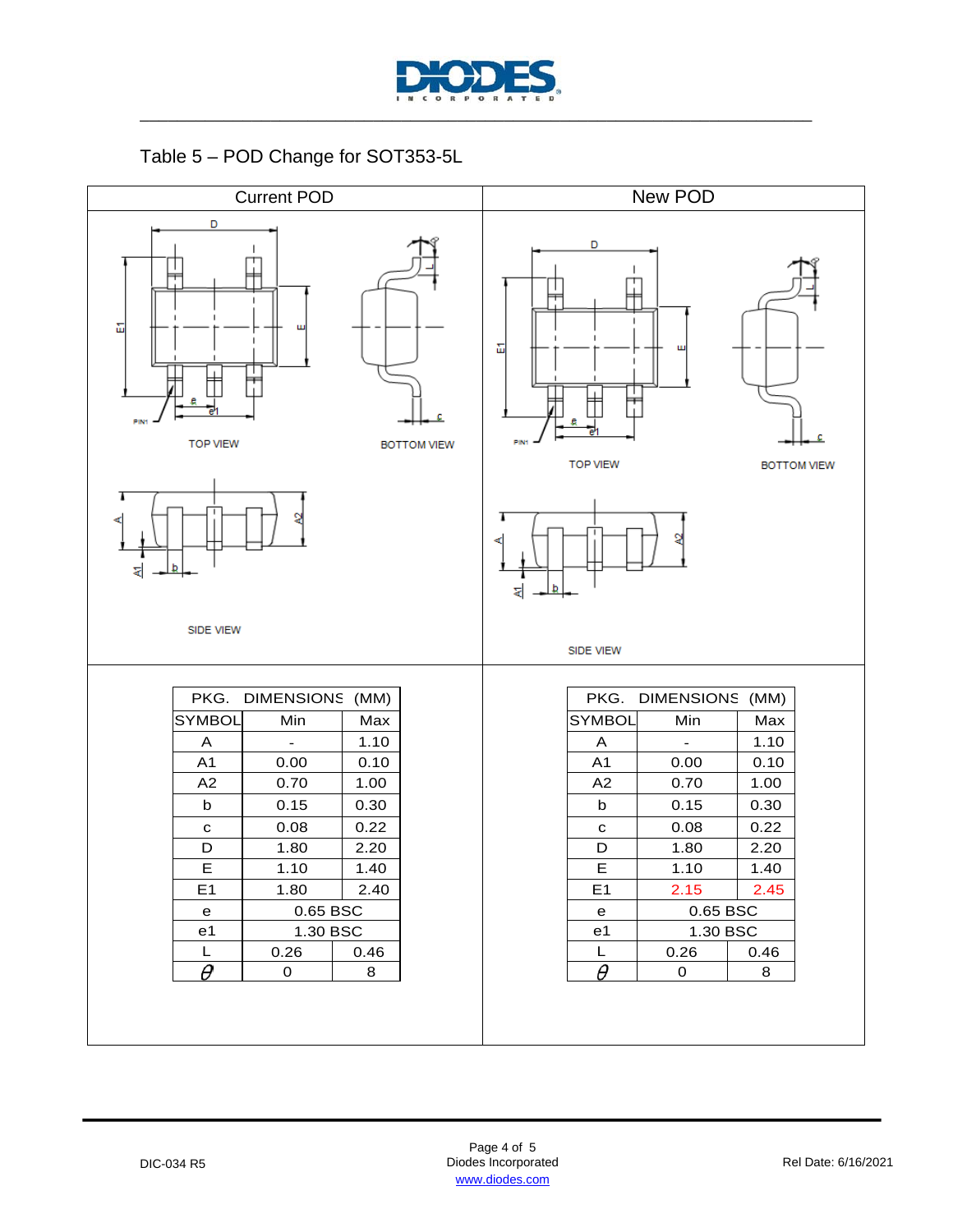

Table 5 – POD Change for SOT353-5L